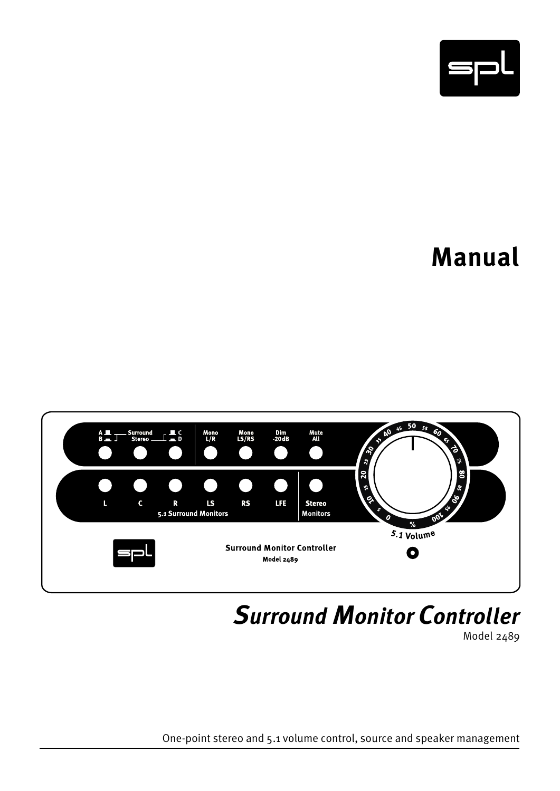

# **Manual**



*Surround Monitor Controller* 

Model 2489

One-point stereo and 5.1 volume control, source and speaker management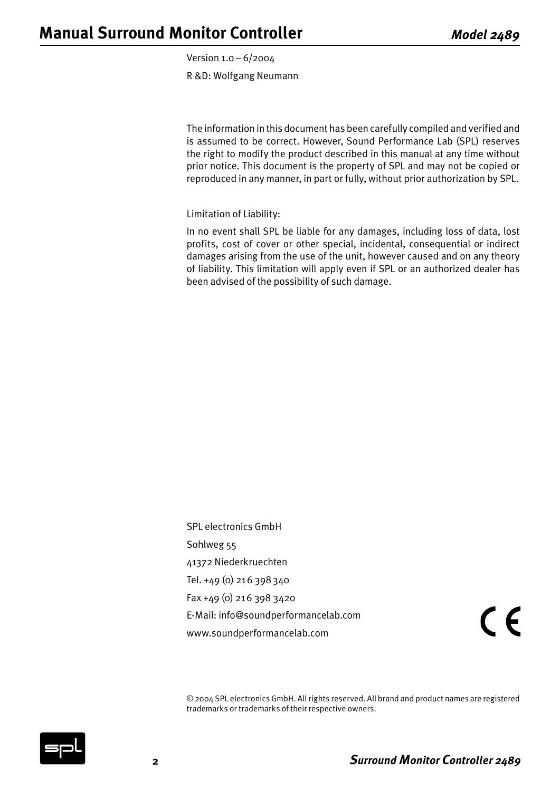Version 1.0 – 6/2004 R &D: Wolfgang Neumann

The information in this document has been carefully compiled and verified and is assumed to be correct. However, Sound Performance Lab (SPL) reserves the right to modify the product described in this manual at any time without prior notice. This document is the property of SPL and may not be copied or reproduced in any manner, in part or fully, without prior authorization by SPL.

Limitation of Liability:

In no event shall SPL be liable for any damages, including loss of data, lost profits, cost of cover or other special, incidental, consequential or indirect damages arising from the use of the unit, however caused and on any theory of liability. This limitation will apply even if SPL or an authorized dealer has been advised of the possibility of such damage.

SPL electronics GmbH Sohlweg 55 41372 Niederkruechten Tel. +49 (0) 216 398340 Fax +49 (0) 216 398 3420 E-Mail: info@soundperformancelab.com www.soundperformancelab.com

 $\epsilon$ 

© 2004 SPL electronics GmbH. All rights reserved. All brand and product names are registered trademarks or trademarks of their respective owners.

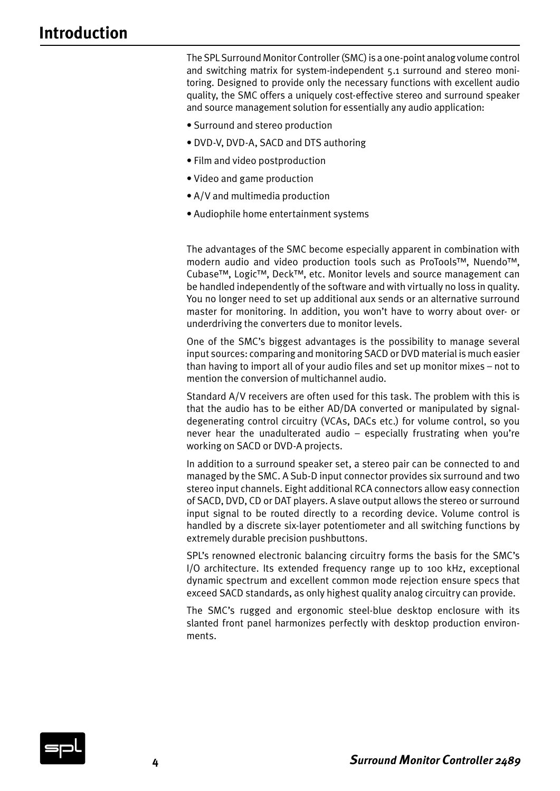# **Introduction**

The SPL Surround Monitor Controller (SMC) is a one-point analog volume control and switching matrix for system-independent 5.1 surround and stereo monitoring. Designed to provide only the necessary functions with excellent audio quality, the SMC offers a uniquely cost-effective stereo and surround speaker and source management solution for essentially any audio application:

- Surround and stereo production
- DVD-V, DVD-A, SACD and DTS authoring
- Film and video postproduction
- Video and game production
- A/V and multimedia production
- Audiophile home entertainment systems

The advantages of the SMC become especially apparent in combination with modern audio and video production tools such as ProTools™, Nuendo™, Cubase™, Logic™, Deck™, etc. Monitor levels and source management can be handled independently of the software and with virtually no loss in quality. You no longer need to set up additional aux sends or an alternative surround master for monitoring. In addition, you won't have to worry about over- or underdriving the converters due to monitor levels.

One of the SMC's biggest advantages is the possibility to manage several input sources: comparing and monitoring SACD or DVD material is much easier than having to import all of your audio files and set up monitor mixes – not to mention the conversion of multichannel audio.

Standard A/V receivers are often used for this task. The problem with this is that the audio has to be either AD/DA converted or manipulated by signaldegenerating control circuitry (VCAs, DACs etc.) for volume control, so you never hear the unadulterated audio – especially frustrating when you're working on SACD or DVD-A projects.

In addition to a surround speaker set, a stereo pair can be connected to and managed by the SMC. A Sub-D input connector provides six surround and two stereo input channels. Eight additional RCA connectors allow easy connection of SACD, DVD, CD or DAT players. A slave output allows the stereo or surround input signal to be routed directly to a recording device. Volume control is handled by a discrete six-layer potentiometer and all switching functions by extremely durable precision pushbuttons.

SPL's renowned electronic balancing circuitry forms the basis for the SMC's I/O architecture. Its extended frequency range up to 100 kHz, exceptional dynamic spectrum and excellent common mode rejection ensure specs that exceed SACD standards, as only highest quality analog circuitry can provide.

The SMC's rugged and ergonomic steel-blue desktop enclosure with its slanted front panel harmonizes perfectly with desktop production environments.

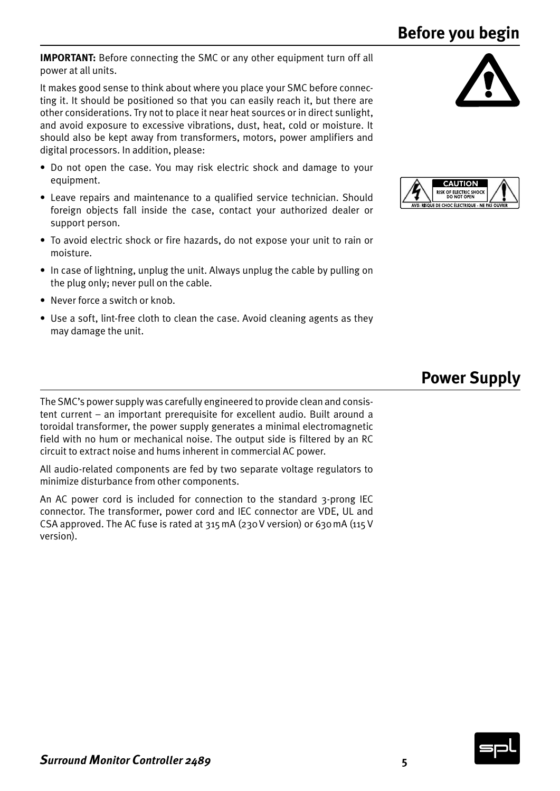**Before you begin**

**IMPORTANT:** Before connecting the SMC or any other equipment turn off all power at all units.

It makes good sense to think about where you place your SMC before connecting it. It should be positioned so that you can easily reach it, but there are other considerations. Try not to place it near heat sources or in direct sunlight, and avoid exposure to excessive vibrations, dust, heat, cold or moisture. It should also be kept away from transformers, motors, power amplifiers and digital processors. In addition, please:

- Do not open the case. You may risk electric shock and damage to your equipment.
- Leave repairs and maintenance to a qualified service technician. Should foreign objects fall inside the case, contact your authorized dealer or support person.
- To avoid electric shock or fire hazards, do not expose your unit to rain or moisture.
- In case of lightning, unplug the unit. Always unplug the cable by pulling on the plug only; never pull on the cable.
- Never force a switch or knob.
- Use a soft, lint-free cloth to clean the case. Avoid cleaning agents as they may damage the unit.





# **Power Supply**

The SMC's power supply was carefully engineered to provide clean and consistent current – an important prerequisite for excellent audio. Built around a toroidal transformer, the power supply generates a minimal electromagnetic field with no hum or mechanical noise. The output side is filtered by an RC circuit to extract noise and hums inherent in commercial AC power.

All audio-related components are fed by two separate voltage regulators to minimize disturbance from other components.

An AC power cord is included for connection to the standard 3-prong IEC connector. The transformer, power cord and IEC connector are VDE, UL and CSA approved. The AC fuse is rated at 315mA (230V version) or 630mA (115V version).

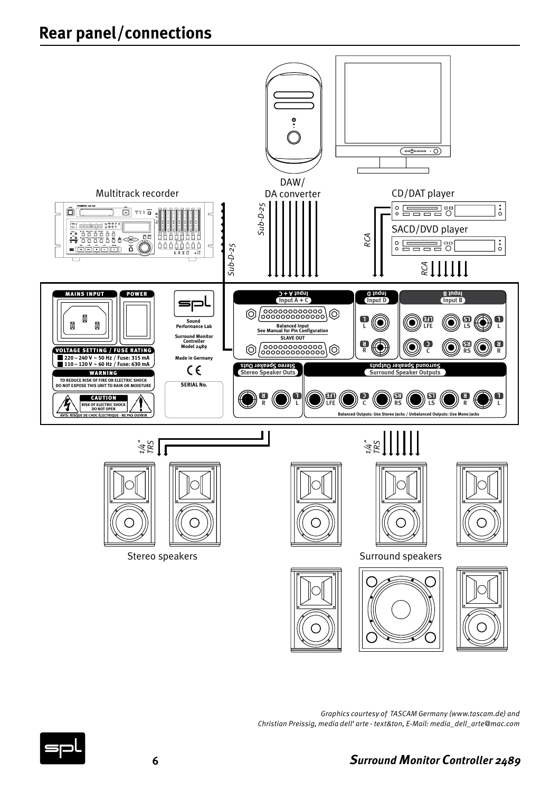# **Rear panel/connections**



*Graphics courtesy of TASCAM Germany (www.tascam.de) and Christian Preissig, media dell' arte - text&ton, E-Mail: media\_dell\_arte@mac.com*

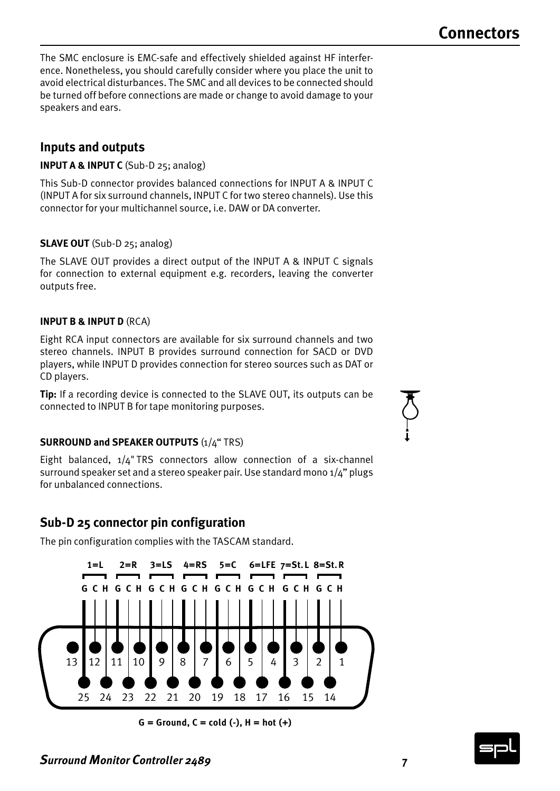The SMC enclosure is EMC-safe and effectively shielded against HF interference. Nonetheless, you should carefully consider where you place the unit to avoid electrical disturbances. The SMC and all devices to be connected should be turned off before connections are made or change to avoid damage to your speakers and ears.

# **Inputs and outputs**

**INPUT A & INPUT C** (Sub-D 25; analog)

This Sub-D connector provides balanced connections for INPUT A & INPUT C (INPUT A for six surround channels, INPUT C for two stereo channels). Use this connector for your multichannel source, i.e. DAW or DA converter.

#### **SLAVE OUT** (Sub-D 25; analog)

The SLAVE OUT provides a direct output of the INPUT A & INPUT C signals for connection to external equipment e.g. recorders, leaving the converter outputs free.

#### **INPUT B & INPUT D** (RCA)

Eight RCA input connectors are available for six surround channels and two stereo channels. INPUT B provides surround connection for SACD or DVD players, while INPUT D provides connection for stereo sources such as DAT or CD players.

**Tip:** If a recording device is connected to the SLAVE OUT, its outputs can be connected to INPUT B for tape monitoring purposes.

#### **SURROUND and SPEAKER OUTPUTS** (1/4" TRS)

Eight balanced, 1/4"TRS connectors allow connection of a six-channel surround speaker set and a stereo speaker pair. Use standard mono 1/4" plugs for unbalanced connections.

### **Sub-D 25 connector pin configuration**

The pin configuration complies with the TASCAM standard.



**G = Ground, C = cold (-), H = hot (+)**





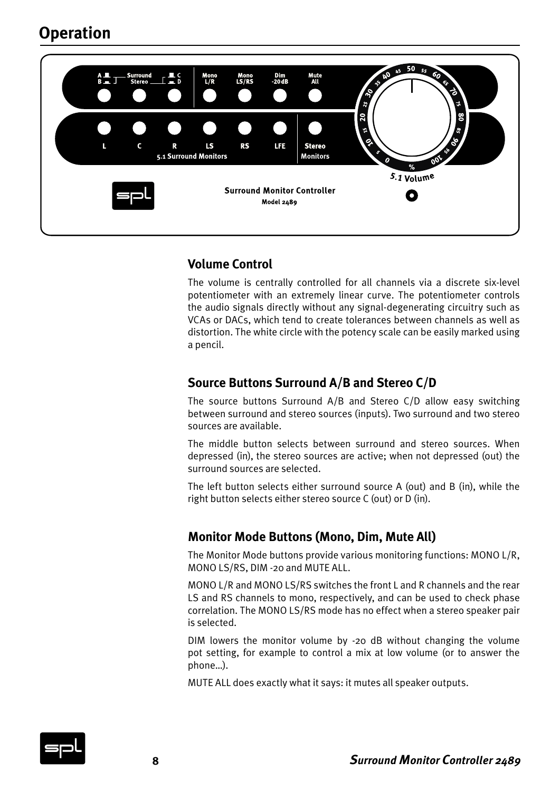# **Operation**



### **Volume Control**

The volume is centrally controlled for all channels via a discrete six-level potentiometer with an extremely linear curve. The potentiometer controls the audio signals directly without any signal-degenerating circuitry such as VCAs or DACs, which tend to create tolerances between channels as well as distortion. The white circle with the potency scale can be easily marked using a pencil.

# **Source Buttons Surround A/B and Stereo C/D**

The source buttons Surround A/B and Stereo C/D allow easy switching between surround and stereo sources (inputs). Two surround and two stereo sources are available.

The middle button selects between surround and stereo sources. When depressed (in), the stereo sources are active; when not depressed (out) the surround sources are selected.

The left button selects either surround source A (out) and B (in), while the right button selects either stereo source C (out) or D (in).

### **Monitor Mode Buttons (Mono, Dim, Mute All)**

The Monitor Mode buttons provide various monitoring functions: MONO L/R, MONO LS/RS, DIM -20 and MUTE ALL.

MONO L/R and MONO LS/RS switches the front L and R channels and the rear LS and RS channels to mono, respectively, and can be used to check phase correlation. The MONO LS/RS mode has no effect when a stereo speaker pair is selected.

DIM lowers the monitor volume by -20 dB without changing the volume pot setting, for example to control a mix at low volume (or to answer the phone…).

MUTE ALL does exactly what it says: it mutes all speaker outputs.

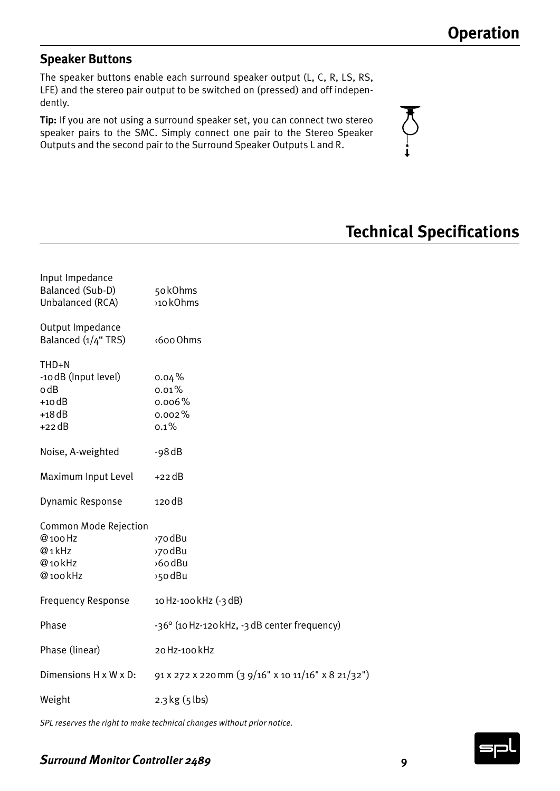### **Speaker Buttons**

The speaker buttons enable each surround speaker output (L, C, R, LS, RS, LFE) and the stereo pair output to be switched on (pressed) and off independently.

**Tip:** If you are not using a surround speaker set, you can connect two stereo speaker pairs to the SMC. Simply connect one pair to the Stereo Speaker Outputs and the second pair to the Surround Speaker Outputs L and R.



# **Technical Specifications**

| Input Impedance<br>Balanced (Sub-D)<br>Unbalanced (RCA)                  | 50kOhms<br>>10 kOhms                               |
|--------------------------------------------------------------------------|----------------------------------------------------|
| Output Impedance<br>Balanced (1/4" TRS)                                  | <600 Ohms                                          |
| THD+N<br>-10 dB (Input level)<br>o dB<br>$+10$ dB<br>$+18$ dB<br>$+22dB$ | $0.04\%$<br>0.01%<br>0.006%<br>0.002%<br>$0.1\%$   |
| Noise, A-weighted                                                        | $-98$ dB                                           |
| Maximum Input Level                                                      | $+22$ dB                                           |
| Dynamic Response                                                         | 120 dB                                             |
| <b>Common Mode Rejection</b><br>@ 100 Hz<br>@1kHz<br>@10kHz<br>@100kHz   | >70 dBu<br>>70 dBu<br>>6odBu<br>>50 dBu            |
| <b>Frequency Response</b>                                                | 10 Hz-100 kHz (-3 dB)                              |
| Phase                                                                    | -36° (10 Hz-120 kHz, -3 dB center frequency)       |
| Phase (linear)                                                           | 20 Hz-100 kHz                                      |
| Dimensions H x W x D:                                                    | 91 x 272 x 220 mm (3 9/16" x 10 11/16" x 8 21/32") |
| Weight                                                                   | $2.3$ kg $(5$ lbs)                                 |

*SPL reserves the right to make technical changes without prior notice.*

### *Surround Monitor Controller 2489* **9**

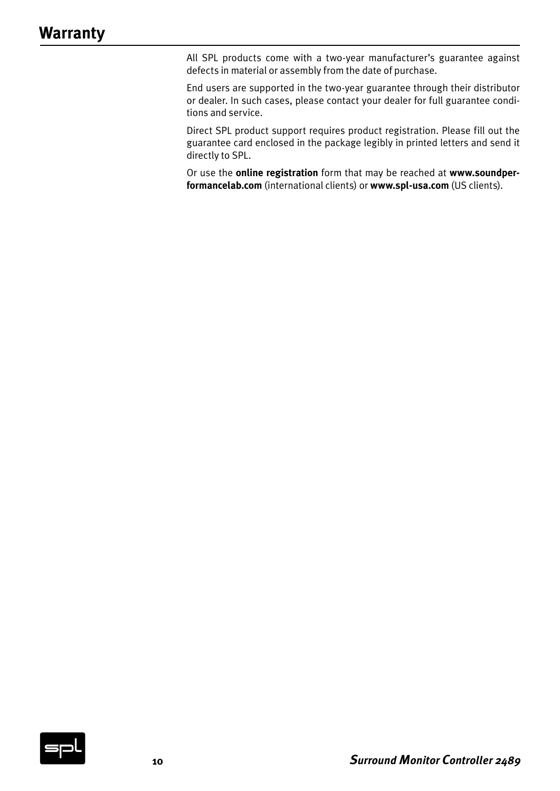All SPL products come with a two-year manufacturer's guarantee against defects in material or assembly from the date of purchase.

End users are supported in the two-year guarantee through their distributor or dealer. In such cases, please contact your dealer for full guarantee conditions and service.

Direct SPL product support requires product registration. Please fill out the guarantee card enclosed in the package legibly in printed letters and send it directly to SPL.

Or use the **online registration** form that may be reached at **www.soundperformancelab.com** (international clients) or **www.spl-usa.com** (US clients).